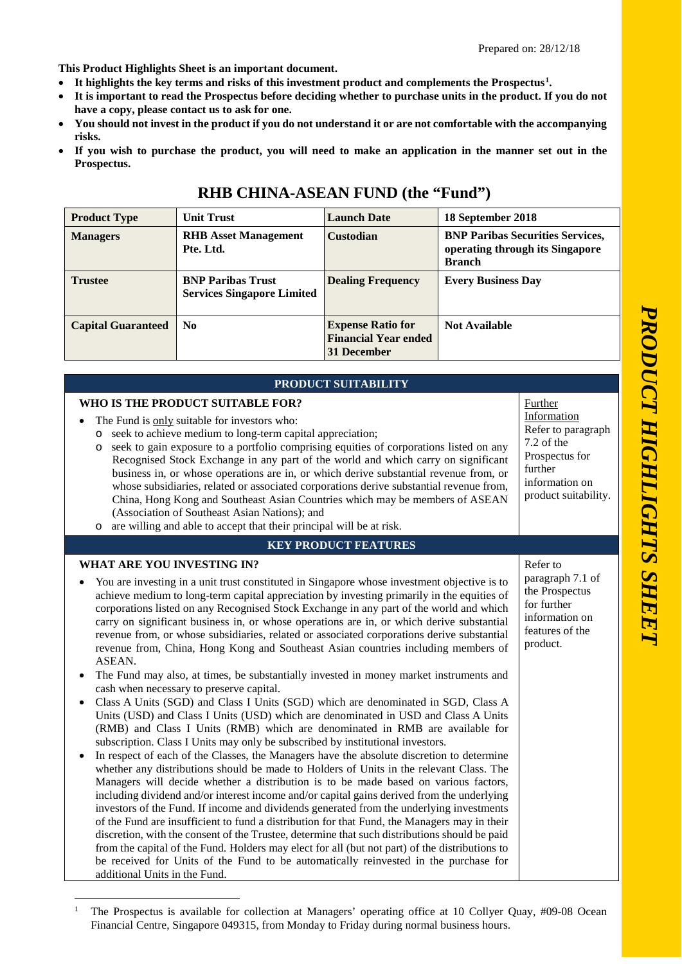**This Product Highlights Sheet is an important document.** 

- **It highlights the key terms and risks of this investment product and complements the Prospectus [1](#page-0-0) .**
- **It is important to read the Prospectus before deciding whether to purchase units in the product. If you do not have a copy, please contact us to ask for one.**
- **You should not invest in the product if you do not understand it or are not comfortable with the accompanying risks.**
- **If you wish to purchase the product, you will need to make an application in the manner set out in the Prospectus.**

| <b>Product Type</b>       | <b>Unit Trust</b>                                             | <b>Launch Date</b>                                                     | 18 September 2018                                                                           |
|---------------------------|---------------------------------------------------------------|------------------------------------------------------------------------|---------------------------------------------------------------------------------------------|
| <b>Managers</b>           | <b>RHB</b> Asset Management<br>Pte. Ltd.                      | Custodian                                                              | <b>BNP Paribas Securities Services,</b><br>operating through its Singapore<br><b>Branch</b> |
| <b>Trustee</b>            | <b>BNP Paribas Trust</b><br><b>Services Singapore Limited</b> | <b>Dealing Frequency</b>                                               | <b>Every Business Day</b>                                                                   |
| <b>Capital Guaranteed</b> | N <sub>0</sub>                                                | <b>Expense Ratio for</b><br><b>Financial Year ended</b><br>31 December | <b>Not Available</b>                                                                        |

## **RHB CHINA -ASEAN FUND (the "Fund")**

| PRODUCT SUITABILITY                                                                                                                                                                                                                                                                                                                                                                                                                                                                                                                                                                                                                                                                                                                                                                                                                                                                                                                                                                                                                                                                                                                                                                                                                                                                                                                                                                                                                                                                                                                                                                                                                                                                                                                                                                                                                                                                                                                                                                                                                                                                                                           |                                                                                                                                   |  |
|-------------------------------------------------------------------------------------------------------------------------------------------------------------------------------------------------------------------------------------------------------------------------------------------------------------------------------------------------------------------------------------------------------------------------------------------------------------------------------------------------------------------------------------------------------------------------------------------------------------------------------------------------------------------------------------------------------------------------------------------------------------------------------------------------------------------------------------------------------------------------------------------------------------------------------------------------------------------------------------------------------------------------------------------------------------------------------------------------------------------------------------------------------------------------------------------------------------------------------------------------------------------------------------------------------------------------------------------------------------------------------------------------------------------------------------------------------------------------------------------------------------------------------------------------------------------------------------------------------------------------------------------------------------------------------------------------------------------------------------------------------------------------------------------------------------------------------------------------------------------------------------------------------------------------------------------------------------------------------------------------------------------------------------------------------------------------------------------------------------------------------|-----------------------------------------------------------------------------------------------------------------------------------|--|
| WHO IS THE PRODUCT SUITABLE FOR?<br>The Fund is only suitable for investors who:<br>seek to achieve medium to long-term capital appreciation;<br>$\circ$<br>seek to gain exposure to a portfolio comprising equities of corporations listed on any<br>$\circ$<br>Recognised Stock Exchange in any part of the world and which carry on significant<br>business in, or whose operations are in, or which derive substantial revenue from, or<br>whose subsidiaries, related or associated corporations derive substantial revenue from,<br>China, Hong Kong and Southeast Asian Countries which may be members of ASEAN<br>(Association of Southeast Asian Nations); and<br>o are willing and able to accept that their principal will be at risk.                                                                                                                                                                                                                                                                                                                                                                                                                                                                                                                                                                                                                                                                                                                                                                                                                                                                                                                                                                                                                                                                                                                                                                                                                                                                                                                                                                             | Further<br>Information<br>Refer to paragraph<br>7.2 of the<br>Prospectus for<br>further<br>information on<br>product suitability. |  |
| <b>KEY PRODUCT FEATURES</b>                                                                                                                                                                                                                                                                                                                                                                                                                                                                                                                                                                                                                                                                                                                                                                                                                                                                                                                                                                                                                                                                                                                                                                                                                                                                                                                                                                                                                                                                                                                                                                                                                                                                                                                                                                                                                                                                                                                                                                                                                                                                                                   |                                                                                                                                   |  |
| <b>WHAT ARE YOU INVESTING IN?</b><br>Refer to<br>paragraph 7.1 of<br>You are investing in a unit trust constituted in Singapore whose investment objective is to<br>the Prospectus<br>achieve medium to long-term capital appreciation by investing primarily in the equities of<br>for further<br>corporations listed on any Recognised Stock Exchange in any part of the world and which<br>information on<br>carry on significant business in, or whose operations are in, or which derive substantial<br>features of the<br>revenue from, or whose subsidiaries, related or associated corporations derive substantial<br>product.<br>revenue from, China, Hong Kong and Southeast Asian countries including members of<br>ASEAN.<br>The Fund may also, at times, be substantially invested in money market instruments and<br>cash when necessary to preserve capital.<br>Class A Units (SGD) and Class I Units (SGD) which are denominated in SGD, Class A<br>Units (USD) and Class I Units (USD) which are denominated in USD and Class A Units<br>(RMB) and Class I Units (RMB) which are denominated in RMB are available for<br>subscription. Class I Units may only be subscribed by institutional investors.<br>In respect of each of the Classes, the Managers have the absolute discretion to determine<br>whether any distributions should be made to Holders of Units in the relevant Class. The<br>Managers will decide whether a distribution is to be made based on various factors,<br>including dividend and/or interest income and/or capital gains derived from the underlying<br>investors of the Fund. If income and dividends generated from the underlying investments<br>of the Fund are insufficient to fund a distribution for that Fund, the Managers may in their<br>discretion, with the consent of the Trustee, determine that such distributions should be paid<br>from the capital of the Fund. Holders may elect for all (but not part) of the distributions to<br>be received for Units of the Fund to be automatically reinvested in the purchase for<br>additional Units in the Fund. |                                                                                                                                   |  |

<span id="page-0-0"></span><sup>&</sup>lt;sup>1</sup> The Prospectus is available for collection at Managers' operating office at 10 Collyer Quay, #09-08 Ocean Financial Centre, Singapore 049315, from Monday to Friday during normal business hours.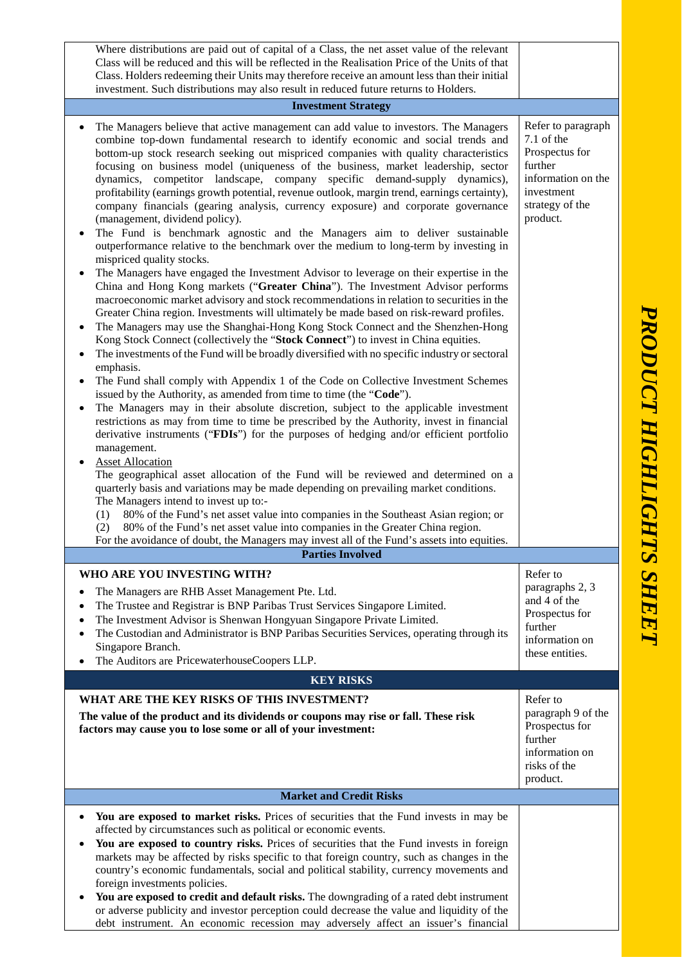Where distributions are paid out of capital of a Class, the net asset value of the relevant Class will be reduced and this will be reflected in the Realisation Price of the Units of that Class. Holders redeeming their Units may therefore receive an amount less than their initial investment. Such distributions may also result in reduced future returns to Holders. **Investment Strategy** • The Managers believe that active management can add value to investors. The Managers combine top -down fundamental research to identify economic and social trends and bottom -up stock research seeking out mispriced companies with quality characteristics focusing on business model (uniqueness of the business, market leadership, sector dynamics, competitor landscape, company specific demand -supply dynamics), profitability (earnings growth potential, revenue outlook, margin trend, earnings certainty), company financials (gearing analysis, currency exposure) and corporate governance (management, dividend policy). • The Fund is benchmark agnostic and the Managers aim to deliver sustainable outperformance relative to the benchmark over the medium to long -term by investing in mispriced quality stocks. • The Managers have engaged the Investment Advisor to leverage on their expertise in the China and Hong Kong markets ("**Greater China**"). The Investment Advisor performs macroeconomic market advisory and stock recommendations in relation to securities in the Greater China region. Investments will ultimately be made based on risk -reward profiles. • The Managers may use the Shanghai-Hong Kong Stock Connect and the Shenzhen-Hong Kong Stock Connect (collectively the "**Stock Connect**") to invest in China equities. • The investments of the Fund will be broadly diversified with no specific industry or sectoral emphasis. • The Fund shall comply with Appendix 1 of the Code on Collective Investment Schemes issued by the Authority, as amended from time to time (the "**Code**"). • The Managers may in their absolute discretion, subject to the applicable investment restrictions as may from time to time be prescribed by the Authority, invest in financial derivative instruments ("**FDIs**") for the purposes of hedging and/or efficient portfolio management. **Asset Allocation** The geographical asset allocation of the Fund will be reviewed and determined on a quarterly basis and variations may be made depending on prevailing market conditions. The Managers intend to invest up to: - (1) 80% of the Fund's net asset value into companies in the South east Asian region; or (2) 80% of the Fund's net asset value into companies in the Greater China region. For the avoidance of doubt, the Managers may invest all of the Fund's assets into equities. Refer to paragraph 7.1 of the Prospectus for further information on the investment strategy of the product. **Parties Involved WHO ARE YOU INVESTING WITH?** • The Managers are RHB Asset Management Pte. Ltd. • The Trustee and Registrar is BNP Paribas Trust Services Singapore Limited . • The Investment Advisor is Shenwan Hongyuan Singapore Private Limited . • The Custodian and Administrator is BNP Paribas Securities Services, operating through its Singapore Branch . • The Auditors are PricewaterhouseCoopers LLP . Refer to paragraphs 2, 3 and 4 of the Prospectus for further information on these entities. **KEY RISKS WHAT ARE THE KEY RISKS OF THIS INVESTMENT? The value of the product and its dividends or coupons may rise or fall. These risk factors may cause you to lose some or all of your investment:** Refer to paragraph 9 of the Prospectus for further information on risks of the product. **Market and Credit Risks** • **You are exposed to market risks.** Prices of securities that the Fund invests in may be affected by circumstances such as political or economic events. You are exposed to country risks. Prices of securities that the Fund invests in foreign markets may be affected by risks specific to that foreign country, such as changes in the country's economic fundamentals, social and political stability, currency movements and foreign investments policies. • **You are exposed to credit and default risks.** The downgrading of a rated debt instrument or adverse publicity and investor perception could decrease the value and liquidity of the

debt instrument. An economic recession may adversely affect an issuer's financial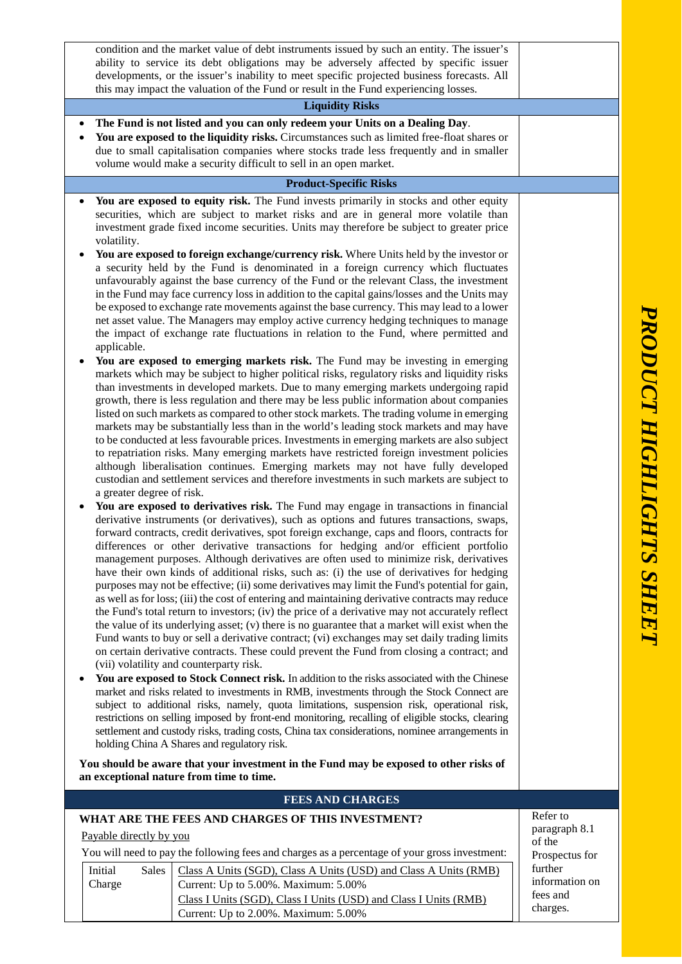|                         | condition and the market value of debt instruments issued by such an entity. The issuer's                                                                                          |                                                                                                                                                                                                    |                           |  |
|-------------------------|------------------------------------------------------------------------------------------------------------------------------------------------------------------------------------|----------------------------------------------------------------------------------------------------------------------------------------------------------------------------------------------------|---------------------------|--|
|                         | ability to service its debt obligations may be adversely affected by specific issuer<br>developments, or the issuer's inability to meet specific projected business forecasts. All |                                                                                                                                                                                                    |                           |  |
|                         |                                                                                                                                                                                    | this may impact the valuation of the Fund or result in the Fund experiencing losses.                                                                                                               |                           |  |
|                         |                                                                                                                                                                                    | <b>Liquidity Risks</b>                                                                                                                                                                             |                           |  |
|                         |                                                                                                                                                                                    | The Fund is not listed and you can only redeem your Units on a Dealing Day.                                                                                                                        |                           |  |
|                         |                                                                                                                                                                                    | You are exposed to the liquidity risks. Circumstances such as limited free-float shares or                                                                                                         |                           |  |
|                         |                                                                                                                                                                                    | due to small capitalisation companies where stocks trade less frequently and in smaller                                                                                                            |                           |  |
|                         |                                                                                                                                                                                    | volume would make a security difficult to sell in an open market.                                                                                                                                  |                           |  |
|                         |                                                                                                                                                                                    | <b>Product-Specific Risks</b>                                                                                                                                                                      |                           |  |
| $\bullet$               |                                                                                                                                                                                    | You are exposed to equity risk. The Fund invests primarily in stocks and other equity<br>securities, which are subject to market risks and are in general more volatile than                       |                           |  |
|                         |                                                                                                                                                                                    | investment grade fixed income securities. Units may therefore be subject to greater price                                                                                                          |                           |  |
|                         | volatility.                                                                                                                                                                        |                                                                                                                                                                                                    |                           |  |
|                         |                                                                                                                                                                                    | You are exposed to foreign exchange/currency risk. Where Units held by the investor or                                                                                                             |                           |  |
|                         |                                                                                                                                                                                    | a security held by the Fund is denominated in a foreign currency which fluctuates                                                                                                                  |                           |  |
|                         |                                                                                                                                                                                    | unfavourably against the base currency of the Fund or the relevant Class, the investment<br>in the Fund may face currency loss in addition to the capital gains/losses and the Units may           |                           |  |
|                         |                                                                                                                                                                                    | be exposed to exchange rate movements against the base currency. This may lead to a lower                                                                                                          |                           |  |
|                         |                                                                                                                                                                                    | net asset value. The Managers may employ active currency hedging techniques to manage                                                                                                              |                           |  |
|                         | applicable.                                                                                                                                                                        | the impact of exchange rate fluctuations in relation to the Fund, where permitted and                                                                                                              |                           |  |
| $\bullet$               |                                                                                                                                                                                    | You are exposed to emerging markets risk. The Fund may be investing in emerging                                                                                                                    |                           |  |
|                         |                                                                                                                                                                                    | markets which may be subject to higher political risks, regulatory risks and liquidity risks                                                                                                       |                           |  |
|                         |                                                                                                                                                                                    | than investments in developed markets. Due to many emerging markets undergoing rapid                                                                                                               |                           |  |
|                         |                                                                                                                                                                                    | growth, there is less regulation and there may be less public information about companies<br>listed on such markets as compared to other stock markets. The trading volume in emerging             |                           |  |
|                         |                                                                                                                                                                                    | markets may be substantially less than in the world's leading stock markets and may have                                                                                                           |                           |  |
|                         |                                                                                                                                                                                    | to be conducted at less favourable prices. Investments in emerging markets are also subject                                                                                                        |                           |  |
|                         |                                                                                                                                                                                    | to repatriation risks. Many emerging markets have restricted foreign investment policies                                                                                                           |                           |  |
|                         |                                                                                                                                                                                    | although liberalisation continues. Emerging markets may not have fully developed<br>custodian and settlement services and therefore investments in such markets are subject to                     |                           |  |
|                         | a greater degree of risk.                                                                                                                                                          |                                                                                                                                                                                                    |                           |  |
|                         |                                                                                                                                                                                    | You are exposed to derivatives risk. The Fund may engage in transactions in financial                                                                                                              |                           |  |
|                         |                                                                                                                                                                                    | derivative instruments (or derivatives), such as options and futures transactions, swaps,                                                                                                          |                           |  |
|                         |                                                                                                                                                                                    | forward contracts, credit derivatives, spot foreign exchange, caps and floors, contracts for<br>differences or other derivative transactions for hedging and/or efficient portfolio                |                           |  |
|                         |                                                                                                                                                                                    | management purposes. Although derivatives are often used to minimize risk, derivatives                                                                                                             |                           |  |
|                         |                                                                                                                                                                                    | have their own kinds of additional risks, such as: (i) the use of derivatives for hedging                                                                                                          |                           |  |
|                         |                                                                                                                                                                                    | purposes may not be effective; (ii) some derivatives may limit the Fund's potential for gain,                                                                                                      |                           |  |
|                         |                                                                                                                                                                                    | as well as for loss; (iii) the cost of entering and maintaining derivative contracts may reduce<br>the Fund's total return to investors; (iv) the price of a derivative may not accurately reflect |                           |  |
|                         |                                                                                                                                                                                    | the value of its underlying asset; (v) there is no guarantee that a market will exist when the                                                                                                     |                           |  |
|                         |                                                                                                                                                                                    | Fund wants to buy or sell a derivative contract; (vi) exchanges may set daily trading limits                                                                                                       |                           |  |
|                         |                                                                                                                                                                                    | on certain derivative contracts. These could prevent the Fund from closing a contract; and                                                                                                         |                           |  |
| $\bullet$               | (vii) volatility and counterparty risk.<br>You are exposed to Stock Connect risk. In addition to the risks associated with the Chinese                                             |                                                                                                                                                                                                    |                           |  |
|                         |                                                                                                                                                                                    | market and risks related to investments in RMB, investments through the Stock Connect are                                                                                                          |                           |  |
|                         | subject to additional risks, namely, quota limitations, suspension risk, operational risk,                                                                                         |                                                                                                                                                                                                    |                           |  |
|                         |                                                                                                                                                                                    | restrictions on selling imposed by front-end monitoring, recalling of eligible stocks, clearing<br>settlement and custody risks, trading costs, China tax considerations, nominee arrangements in  |                           |  |
|                         |                                                                                                                                                                                    | holding China A Shares and regulatory risk.                                                                                                                                                        |                           |  |
|                         |                                                                                                                                                                                    | You should be aware that your investment in the Fund may be exposed to other risks of                                                                                                              |                           |  |
|                         |                                                                                                                                                                                    | an exceptional nature from time to time.                                                                                                                                                           |                           |  |
| <b>FEES AND CHARGES</b> |                                                                                                                                                                                    |                                                                                                                                                                                                    |                           |  |
|                         | Refer to<br>WHAT ARE THE FEES AND CHARGES OF THIS INVESTMENT?                                                                                                                      |                                                                                                                                                                                                    |                           |  |
|                         | Payable directly by you                                                                                                                                                            |                                                                                                                                                                                                    | paragraph 8.1             |  |
|                         | of the<br>You will need to pay the following fees and charges as a percentage of your gross investment:                                                                            |                                                                                                                                                                                                    |                           |  |
|                         | Initial<br><b>Sales</b>                                                                                                                                                            | Class A Units (SGD), Class A Units (USD) and Class A Units (RMB)                                                                                                                                   | Prospectus for<br>further |  |
|                         | Charge                                                                                                                                                                             | Current: Up to 5.00%. Maximum: 5.00%                                                                                                                                                               | information on            |  |
|                         |                                                                                                                                                                                    | Class I Units (SGD), Class I Units (USD) and Class I Units (RMB)                                                                                                                                   | fees and                  |  |
|                         |                                                                                                                                                                                    | Current: Up to 2.00%. Maximum: 5.00%                                                                                                                                                               | charges.                  |  |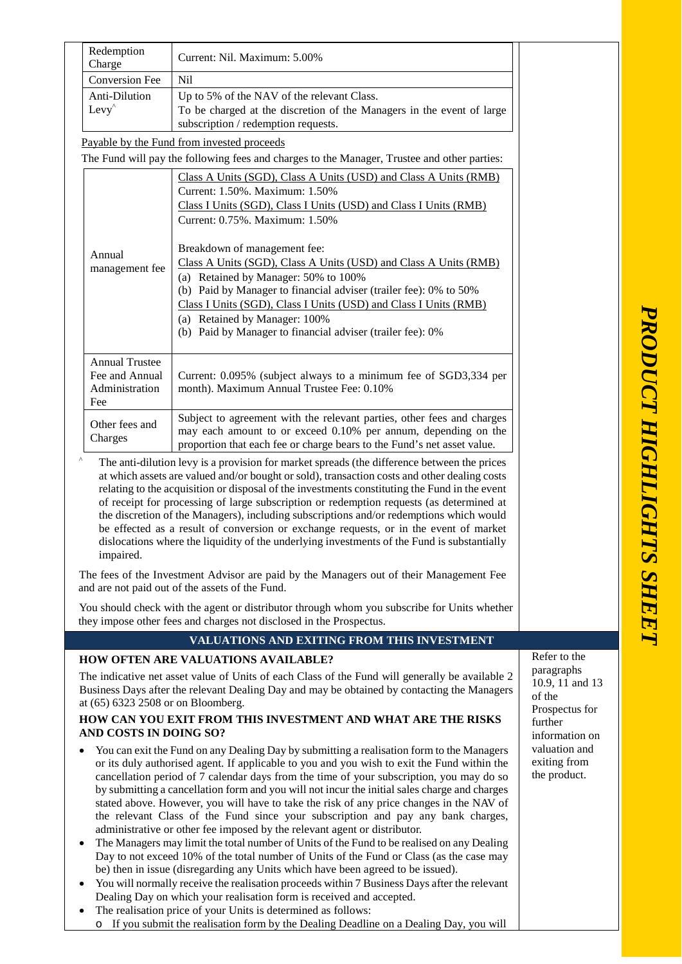|                                                                                                                                                                                                                                                                                                                                                                                                                                                                                                                                                                                                                                                                                               | Redemption<br>Charge                                                                                                                                                                                                                                                                                                                                                                                                                                                                                                                                                                                                                                                                                                                                                                                                                                                                                                                                                                                                                                                                                                                                                                                                                        | Current: Nil. Maximum: 5.00%                                                                                                                                                                                                                                                                                                                                                     |                                   |
|-----------------------------------------------------------------------------------------------------------------------------------------------------------------------------------------------------------------------------------------------------------------------------------------------------------------------------------------------------------------------------------------------------------------------------------------------------------------------------------------------------------------------------------------------------------------------------------------------------------------------------------------------------------------------------------------------|---------------------------------------------------------------------------------------------------------------------------------------------------------------------------------------------------------------------------------------------------------------------------------------------------------------------------------------------------------------------------------------------------------------------------------------------------------------------------------------------------------------------------------------------------------------------------------------------------------------------------------------------------------------------------------------------------------------------------------------------------------------------------------------------------------------------------------------------------------------------------------------------------------------------------------------------------------------------------------------------------------------------------------------------------------------------------------------------------------------------------------------------------------------------------------------------------------------------------------------------|----------------------------------------------------------------------------------------------------------------------------------------------------------------------------------------------------------------------------------------------------------------------------------------------------------------------------------------------------------------------------------|-----------------------------------|
|                                                                                                                                                                                                                                                                                                                                                                                                                                                                                                                                                                                                                                                                                               | <b>Conversion Fee</b><br>Nil                                                                                                                                                                                                                                                                                                                                                                                                                                                                                                                                                                                                                                                                                                                                                                                                                                                                                                                                                                                                                                                                                                                                                                                                                |                                                                                                                                                                                                                                                                                                                                                                                  |                                   |
|                                                                                                                                                                                                                                                                                                                                                                                                                                                                                                                                                                                                                                                                                               | Anti-Dilution                                                                                                                                                                                                                                                                                                                                                                                                                                                                                                                                                                                                                                                                                                                                                                                                                                                                                                                                                                                                                                                                                                                                                                                                                               | Up to 5% of the NAV of the relevant Class.                                                                                                                                                                                                                                                                                                                                       |                                   |
|                                                                                                                                                                                                                                                                                                                                                                                                                                                                                                                                                                                                                                                                                               | $Levy^{\wedge}$                                                                                                                                                                                                                                                                                                                                                                                                                                                                                                                                                                                                                                                                                                                                                                                                                                                                                                                                                                                                                                                                                                                                                                                                                             | To be charged at the discretion of the Managers in the event of large<br>subscription / redemption requests.                                                                                                                                                                                                                                                                     |                                   |
|                                                                                                                                                                                                                                                                                                                                                                                                                                                                                                                                                                                                                                                                                               |                                                                                                                                                                                                                                                                                                                                                                                                                                                                                                                                                                                                                                                                                                                                                                                                                                                                                                                                                                                                                                                                                                                                                                                                                                             | Payable by the Fund from invested proceeds                                                                                                                                                                                                                                                                                                                                       |                                   |
|                                                                                                                                                                                                                                                                                                                                                                                                                                                                                                                                                                                                                                                                                               |                                                                                                                                                                                                                                                                                                                                                                                                                                                                                                                                                                                                                                                                                                                                                                                                                                                                                                                                                                                                                                                                                                                                                                                                                                             |                                                                                                                                                                                                                                                                                                                                                                                  |                                   |
|                                                                                                                                                                                                                                                                                                                                                                                                                                                                                                                                                                                                                                                                                               | The Fund will pay the following fees and charges to the Manager, Trustee and other parties:<br>Class A Units (SGD), Class A Units (USD) and Class A Units (RMB)                                                                                                                                                                                                                                                                                                                                                                                                                                                                                                                                                                                                                                                                                                                                                                                                                                                                                                                                                                                                                                                                             |                                                                                                                                                                                                                                                                                                                                                                                  |                                   |
|                                                                                                                                                                                                                                                                                                                                                                                                                                                                                                                                                                                                                                                                                               |                                                                                                                                                                                                                                                                                                                                                                                                                                                                                                                                                                                                                                                                                                                                                                                                                                                                                                                                                                                                                                                                                                                                                                                                                                             | Current: 1.50%. Maximum: 1.50%<br>Class I Units (SGD), Class I Units (USD) and Class I Units (RMB)<br>Current: 0.75%. Maximum: 1.50%                                                                                                                                                                                                                                             |                                   |
|                                                                                                                                                                                                                                                                                                                                                                                                                                                                                                                                                                                                                                                                                               | Annual<br>management fee                                                                                                                                                                                                                                                                                                                                                                                                                                                                                                                                                                                                                                                                                                                                                                                                                                                                                                                                                                                                                                                                                                                                                                                                                    | Breakdown of management fee:<br>Class A Units (SGD), Class A Units (USD) and Class A Units (RMB)<br>(a) Retained by Manager: 50% to 100%<br>(b) Paid by Manager to financial adviser (trailer fee): 0% to 50%<br>Class I Units (SGD), Class I Units (USD) and Class I Units (RMB)<br>(a) Retained by Manager: 100%<br>(b) Paid by Manager to financial adviser (trailer fee): 0% |                                   |
|                                                                                                                                                                                                                                                                                                                                                                                                                                                                                                                                                                                                                                                                                               | <b>Annual Trustee</b><br>Fee and Annual<br>Administration<br>Fee                                                                                                                                                                                                                                                                                                                                                                                                                                                                                                                                                                                                                                                                                                                                                                                                                                                                                                                                                                                                                                                                                                                                                                            | Current: 0.095% (subject always to a minimum fee of SGD3,334 per<br>month). Maximum Annual Trustee Fee: 0.10%                                                                                                                                                                                                                                                                    |                                   |
|                                                                                                                                                                                                                                                                                                                                                                                                                                                                                                                                                                                                                                                                                               | Other fees and<br>Charges                                                                                                                                                                                                                                                                                                                                                                                                                                                                                                                                                                                                                                                                                                                                                                                                                                                                                                                                                                                                                                                                                                                                                                                                                   | Subject to agreement with the relevant parties, other fees and charges<br>may each amount to or exceed 0.10% per annum, depending on the<br>proportion that each fee or charge bears to the Fund's net asset value.                                                                                                                                                              |                                   |
| ٨<br>The anti-dilution levy is a provision for market spreads (the difference between the prices<br>at which assets are valued and/or bought or sold), transaction costs and other dealing costs<br>relating to the acquisition or disposal of the investments constituting the Fund in the event<br>of receipt for processing of large subscription or redemption requests (as determined at<br>the discretion of the Managers), including subscriptions and/or redemptions which would<br>be effected as a result of conversion or exchange requests, or in the event of market<br>dislocations where the liquidity of the underlying investments of the Fund is substantially<br>impaired. |                                                                                                                                                                                                                                                                                                                                                                                                                                                                                                                                                                                                                                                                                                                                                                                                                                                                                                                                                                                                                                                                                                                                                                                                                                             |                                                                                                                                                                                                                                                                                                                                                                                  |                                   |
| The fees of the Investment Advisor are paid by the Managers out of their Management Fee<br>and are not paid out of the assets of the Fund.                                                                                                                                                                                                                                                                                                                                                                                                                                                                                                                                                    |                                                                                                                                                                                                                                                                                                                                                                                                                                                                                                                                                                                                                                                                                                                                                                                                                                                                                                                                                                                                                                                                                                                                                                                                                                             |                                                                                                                                                                                                                                                                                                                                                                                  |                                   |
| You should check with the agent or distributor through whom you subscribe for Units whether<br>they impose other fees and charges not disclosed in the Prospectus.                                                                                                                                                                                                                                                                                                                                                                                                                                                                                                                            |                                                                                                                                                                                                                                                                                                                                                                                                                                                                                                                                                                                                                                                                                                                                                                                                                                                                                                                                                                                                                                                                                                                                                                                                                                             |                                                                                                                                                                                                                                                                                                                                                                                  |                                   |
|                                                                                                                                                                                                                                                                                                                                                                                                                                                                                                                                                                                                                                                                                               |                                                                                                                                                                                                                                                                                                                                                                                                                                                                                                                                                                                                                                                                                                                                                                                                                                                                                                                                                                                                                                                                                                                                                                                                                                             | <b>VALUATIONS AND EXITING FROM THIS INVESTMENT</b>                                                                                                                                                                                                                                                                                                                               |                                   |
|                                                                                                                                                                                                                                                                                                                                                                                                                                                                                                                                                                                                                                                                                               |                                                                                                                                                                                                                                                                                                                                                                                                                                                                                                                                                                                                                                                                                                                                                                                                                                                                                                                                                                                                                                                                                                                                                                                                                                             | <b>HOW OFTEN ARE VALUATIONS AVAILABLE?</b>                                                                                                                                                                                                                                                                                                                                       | Refer to the                      |
| paragraphs<br>The indicative net asset value of Units of each Class of the Fund will generally be available 2<br>Business Days after the relevant Dealing Day and may be obtained by contacting the Managers<br>of the<br>at (65) 6323 2508 or on Bloomberg.<br>HOW CAN YOU EXIT FROM THIS INVESTMENT AND WHAT ARE THE RISKS<br>further<br>AND COSTS IN DOING SO?                                                                                                                                                                                                                                                                                                                             |                                                                                                                                                                                                                                                                                                                                                                                                                                                                                                                                                                                                                                                                                                                                                                                                                                                                                                                                                                                                                                                                                                                                                                                                                                             |                                                                                                                                                                                                                                                                                                                                                                                  | 10.9, 11 and 13<br>Prospectus for |
|                                                                                                                                                                                                                                                                                                                                                                                                                                                                                                                                                                                                                                                                                               | information on<br>valuation and<br>You can exit the Fund on any Dealing Day by submitting a realisation form to the Managers<br>exiting from<br>or its duly authorised agent. If applicable to you and you wish to exit the Fund within the<br>the product.<br>cancellation period of 7 calendar days from the time of your subscription, you may do so<br>by submitting a cancellation form and you will not incur the initial sales charge and charges<br>stated above. However, you will have to take the risk of any price changes in the NAV of<br>the relevant Class of the Fund since your subscription and pay any bank charges,<br>administrative or other fee imposed by the relevant agent or distributor.<br>The Managers may limit the total number of Units of the Fund to be realised on any Dealing<br>Day to not exceed 10% of the total number of Units of the Fund or Class (as the case may<br>be) then in issue (disregarding any Units which have been agreed to be issued).<br>You will normally receive the realisation proceeds within 7 Business Days after the relevant<br>Dealing Day on which your realisation form is received and accepted.<br>The realisation price of your Units is determined as follows: |                                                                                                                                                                                                                                                                                                                                                                                  |                                   |

o If you submit the realisation form by the Dealing Deadline on a Dealing Day, you will